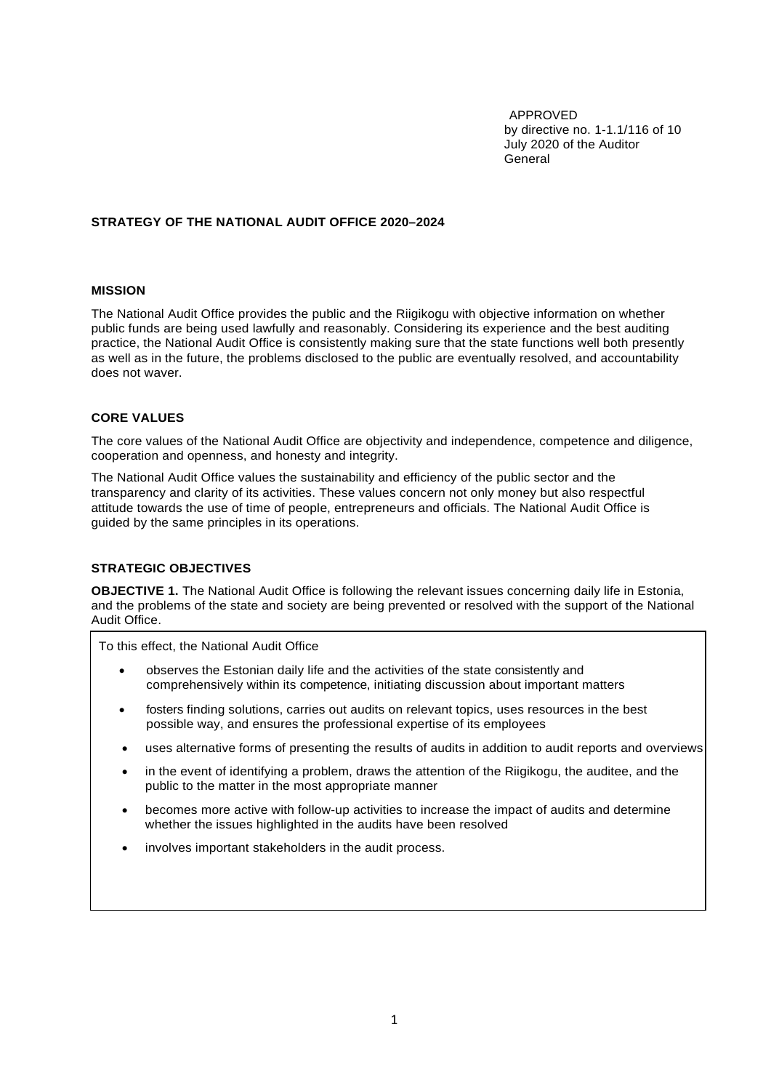APPROVED by directive no. 1-1.1/116 of 10 July 2020 of the Auditor General

## **STRATEGY OF THE NATIONAL AUDIT OFFICE 2020–2024**

## **MISSION**

The National Audit Office provides the public and the Riigikogu with objective information on whether public funds are being used lawfully and reasonably. Considering its experience and the best auditing practice, the National Audit Office is consistently making sure that the state functions well both presently as well as in the future, the problems disclosed to the public are eventually resolved, and accountability does not waver.

## **CORE VALUES**

The core values of the National Audit Office are objectivity and independence, competence and diligence, cooperation and openness, and honesty and integrity.

The National Audit Office values the sustainability and efficiency of the public sector and the transparency and clarity of its activities. These values concern not only money but also respectful attitude towards the use of time of people, entrepreneurs and officials. The National Audit Office is guided by the same principles in its operations.

## **STRATEGIC OBJECTIVES**

**OBJECTIVE 1.** The National Audit Office is following the relevant issues concerning daily life in Estonia, and the problems of the state and society are being prevented or resolved with the support of the National Audit Office.

To this effect, the National Audit Office

- observes the Estonian daily life and the activities of the state consistently and comprehensively within its competence, initiating discussion about important matters
- fosters finding solutions, carries out audits on relevant topics, uses resources in the best possible way, and ensures the professional expertise of its employees
- uses alternative forms of presenting the results of audits in addition to audit reports and overviews
- in the event of identifying a problem, draws the attention of the Riigikogu, the auditee, and the public to the matter in the most appropriate manner
- becomes more active with follow-up activities to increase the impact of audits and determine whether the issues highlighted in the audits have been resolved
- involves important stakeholders in the audit process.